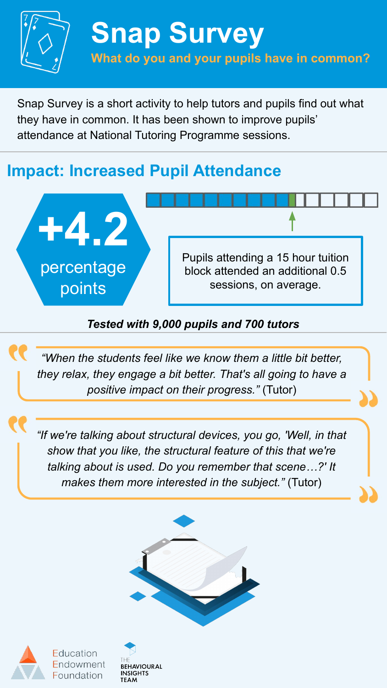

**Snap Survey What do you and your pupils have in common?** 

Snap Survey is a short activity to help tutors and pupils find out what they have in common. It has been shown to improve pupils' attendance at National Tutoring Programme sessions.

# **Impact: Increased Pupil Attendance**



### *Tested with 9,000 pupils and 700 tutors*

*"When the students feel like we know them a little bit better, they relax, they engage a bit better. That's all going to have a positive impact on their progress."* (Tutor)

*"If we're talking about structural devices, you go, 'Well, in that show that you like, the structural feature of this that we're talking about is used. Do you remember that scene…?' It makes them more interested in the subject."* (Tutor)





Education dowment Foundation